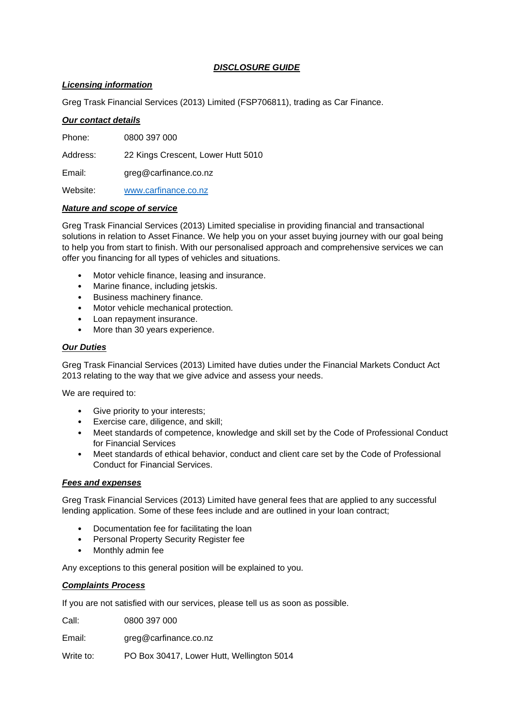# *DISCLOSURE GUIDE*

# *Licensing information*

Greg Trask Financial Services (2013) Limited (FSP706811), trading as Car Finance.

### *Our contact details*

Phone: 0800 397 000 Address: 22 Kings Crescent, Lower Hutt 5010 Email: greg@carfinance.co.nz Website: [www.carfinance.co.nz](http://www.carfinance.co.nz/)

### *Nature and scope of service*

Greg Trask Financial Services (2013) Limited specialise in providing financial and transactional solutions in relation to Asset Finance. We help you on your asset buying journey with our goal being to help you from start to finish. With our personalised approach and comprehensive services we can offer you financing for all types of vehicles and situations.

- Motor vehicle finance, leasing and insurance.
- Marine finance, including jetskis.
- Business machinery finance.
- Motor vehicle mechanical protection.
- Loan repayment insurance.
- More than 30 years experience.

### *Our Duties*

Greg Trask Financial Services (2013) Limited have duties under the Financial Markets Conduct Act 2013 relating to the way that we give advice and assess your needs.

We are required to:

- Give priority to your interests;
- Exercise care, diligence, and skill;
- Meet standards of competence, knowledge and skill set by the Code of Professional Conduct for Financial Services
- Meet standards of ethical behavior, conduct and client care set by the Code of Professional Conduct for Financial Services.

## *Fees and expenses*

Greg Trask Financial Services (2013) Limited have general fees that are applied to any successful lending application. Some of these fees include and are outlined in your loan contract;

- Documentation fee for facilitating the loan
- Personal Property Security Register fee
- Monthly admin fee

Any exceptions to this general position will be explained to you.

## *Complaints Process*

If you are not satisfied with our services, please tell us as soon as possible.

Call: 0800 397 000

Email: greg@carfinance.co.nz

Write to: PO Box 30417, Lower Hutt, Wellington 5014